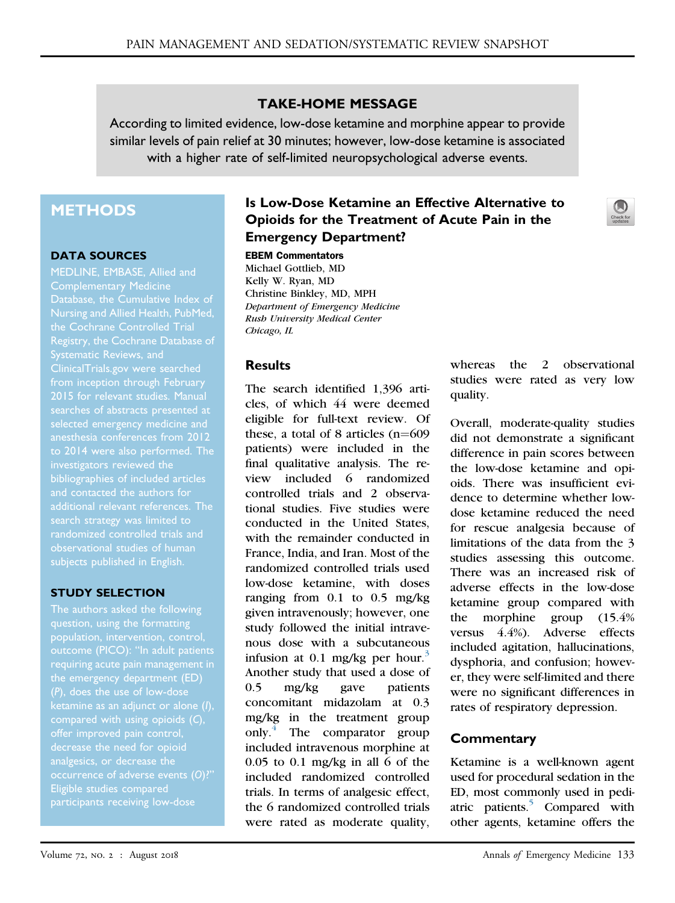### TAKE-HOME MESSAGE

According to limited evidence, low-dose ketamine and morphine appear to provide similar levels of pain relief at 30 minutes; however, low-dose ketamine is associated with a higher rate of self-limited neuropsychological adverse events.

# **METHODS**

#### DATA SOURCES

MEDLINE, EMBASE, Allied and Complementary Medicine Nursing and Allied Health, PubMed, the Cochrane Controlled Trial Registry, the Cochrane Database of [ClinicalTrials.gov](http://ClinicalTrials.gov) were searched from inception through February 2015 for relevant studies. Manual selected emergency medicine and anesthesia conferences from 2012 investigators reviewed the bibliographies of included articles and contacted the authors for search strategy was limited to subjects published in English.

### STUDY SELECTION

The authors asked the following question, using the formatting outcome (PICO): "In adult patients requiring acute pain management in the emergency department (ED) (P), does the use of low-dose compared with using opioids (C), analgesics, or decrease the occurrence of adverse events (O)?" Eligible studies compared participants receiving low-dose

## Is Low-Dose Ketamine an Effective Alternative to Opioids for the Treatment of Acute Pain in the Emergency Department?

#### EBEM Commentators

Michael Gottlieb, MD Kelly W. Ryan, MD Christine Binkley, MD, MPH Department of Emergency Medicine Rush University Medical Center Chicago, IL

### **Results**

The search identified 1,396 articles, of which 44 were deemed eligible for full-text review. Of these, a total of 8 articles  $(n=609)$ patients) were included in the final qualitative analysis. The review included 6 randomized controlled trials and 2 observational studies. Five studies were conducted in the United States, with the remainder conducted in France, India, and Iran. Most of the randomized controlled trials used low-dose ketamine, with doses ranging from  $0.1$  to  $0.5$  mg/kg given intravenously; however, one study followed the initial intravenous dose with a subcutaneous infusion at 0.1 mg/kg per hour.<sup>[3](#page-1-0)</sup> Another study that used a dose of 0.5 mg/kg gave patients concomitant midazolam at 0.3 mg/kg in the treatment group only[.4](#page-1-1) The comparator group included intravenous morphine at  $0.05$  to  $0.1$  mg/kg in all 6 of the included randomized controlled trials. In terms of analgesic effect, the 6 randomized controlled trials were rated as moderate quality,

whereas the 2 observational studies were rated as very low quality.

Overall, moderate-quality studies did not demonstrate a significant difference in pain scores between the low-dose ketamine and opioids. There was insufficient evidence to determine whether lowdose ketamine reduced the need for rescue analgesia because of limitations of the data from the 3 studies assessing this outcome. There was an increased risk of adverse effects in the low-dose ketamine group compared with the morphine group (15.4% versus 4.4%). Adverse effects included agitation, hallucinations, dysphoria, and confusion; however, they were self-limited and there were no significant differences in rates of respiratory depression.

## **Commentary**

Ketamine is a well-known agent used for procedural sedation in the ED, most commonly used in pediatric patients.<sup>5</sup> Compared with other agents, ketamine offers the